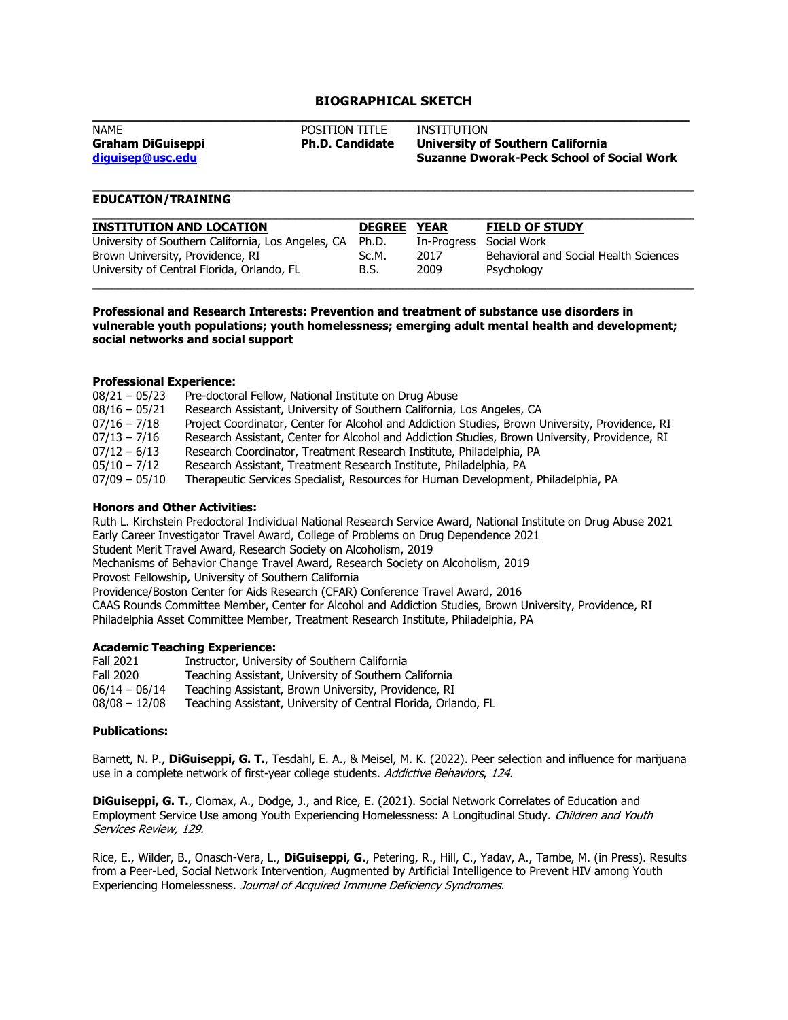# **BIOGRAPHICAL SKETCH**

| <b>NAME</b>              | <b>POSITION TITLE</b>  | INSTITUTION                                      |
|--------------------------|------------------------|--------------------------------------------------|
| <b>Graham DiGuiseppi</b> | <b>Ph.D. Candidate</b> | University of Southern California                |
| diquisep@usc.edu         |                        | <b>Suzanne Dworak-Peck School of Social Work</b> |
|                          |                        |                                                  |

\_\_\_\_\_\_\_\_\_\_\_\_\_\_\_\_\_\_\_\_\_\_\_\_\_\_\_\_\_\_\_\_\_\_\_\_\_\_\_\_\_\_\_\_\_\_\_\_\_\_\_\_\_\_\_\_\_\_\_\_\_\_\_\_\_\_\_\_\_\_\_\_\_\_\_\_\_\_\_\_\_\_\_\_\_\_\_\_\_\_\_\_\_\_\_

## **EDUCATION/TRAINING**

| <b>INSTITUTION AND LOCATION</b>                    | <b>DEGREE</b> | <b>YEAR</b> | <b>FIELD OF STUDY</b>                 |
|----------------------------------------------------|---------------|-------------|---------------------------------------|
| University of Southern California, Los Angeles, CA | Ph.D.         | In-Progress | Social Work                           |
| Brown University, Providence, RI                   | Sc.M.         | 2017        | Behavioral and Social Health Sciences |
| University of Central Florida, Orlando, FL         | B.S.          | 2009        | Psychology                            |

**Professional and Research Interests: Prevention and treatment of substance use disorders in vulnerable youth populations; youth homelessness; emerging adult mental health and development; social networks and social support**

#### **Professional Experience:**

| $08/21 - 05/23$ | Pre-doctoral Fellow, National Institute on Drug Abuse                                           |
|-----------------|-------------------------------------------------------------------------------------------------|
| $08/16 - 05/21$ | Research Assistant, University of Southern California, Los Angeles, CA                          |
| $07/16 - 7/18$  | Project Coordinator, Center for Alcohol and Addiction Studies, Brown University, Providence, RI |
| $07/13 - 7/16$  | Research Assistant, Center for Alcohol and Addiction Studies, Brown University, Providence, RI  |
| $07/12 - 6/13$  | Research Coordinator, Treatment Research Institute, Philadelphia, PA                            |
| $05/10 - 7/12$  | Research Assistant, Treatment Research Institute, Philadelphia, PA                              |
| $07/09 - 05/10$ | Therapeutic Services Specialist, Resources for Human Development, Philadelphia, PA              |

#### **Honors and Other Activities:**

Ruth L. Kirchstein Predoctoral Individual National Research Service Award, National Institute on Drug Abuse 2021 Early Career Investigator Travel Award, College of Problems on Drug Dependence 2021 Student Merit Travel Award, Research Society on Alcoholism, 2019 Mechanisms of Behavior Change Travel Award, Research Society on Alcoholism, 2019 Provost Fellowship, University of Southern California Providence/Boston Center for Aids Research (CFAR) Conference Travel Award, 2016 CAAS Rounds Committee Member, Center for Alcohol and Addiction Studies, Brown University, Providence, RI Philadelphia Asset Committee Member, Treatment Research Institute, Philadelphia, PA

### **Academic Teaching Experience:**

| Fall 2021       | Instructor, University of Southern California                  |
|-----------------|----------------------------------------------------------------|
| Fall 2020       | Teaching Assistant, University of Southern California          |
| $06/14 - 06/14$ | Teaching Assistant, Brown University, Providence, RI           |
| $08/08 - 12/08$ | Teaching Assistant, University of Central Florida, Orlando, FL |

### **Publications:**

Barnett, N. P., **DiGuiseppi, G. T.**, Tesdahl, E. A., & Meisel, M. K. (2022). Peer selection and influence for marijuana use in a complete network of first-year college students. Addictive Behaviors, 124.

**DiGuiseppi, G. T.**, Clomax, A., Dodge, J., and Rice, E. (2021). Social Network Correlates of Education and Employment Service Use among Youth Experiencing Homelessness: A Longitudinal Study. Children and Youth Services Review, 129.

Rice, E., Wilder, B., Onasch-Vera, L., **DiGuiseppi, G.**, Petering, R., Hill, C., Yadav, A., Tambe, M. (in Press). Results from a Peer-Led, Social Network Intervention, Augmented by Artificial Intelligence to Prevent HIV among Youth Experiencing Homelessness. Journal of Acquired Immune Deficiency Syndromes.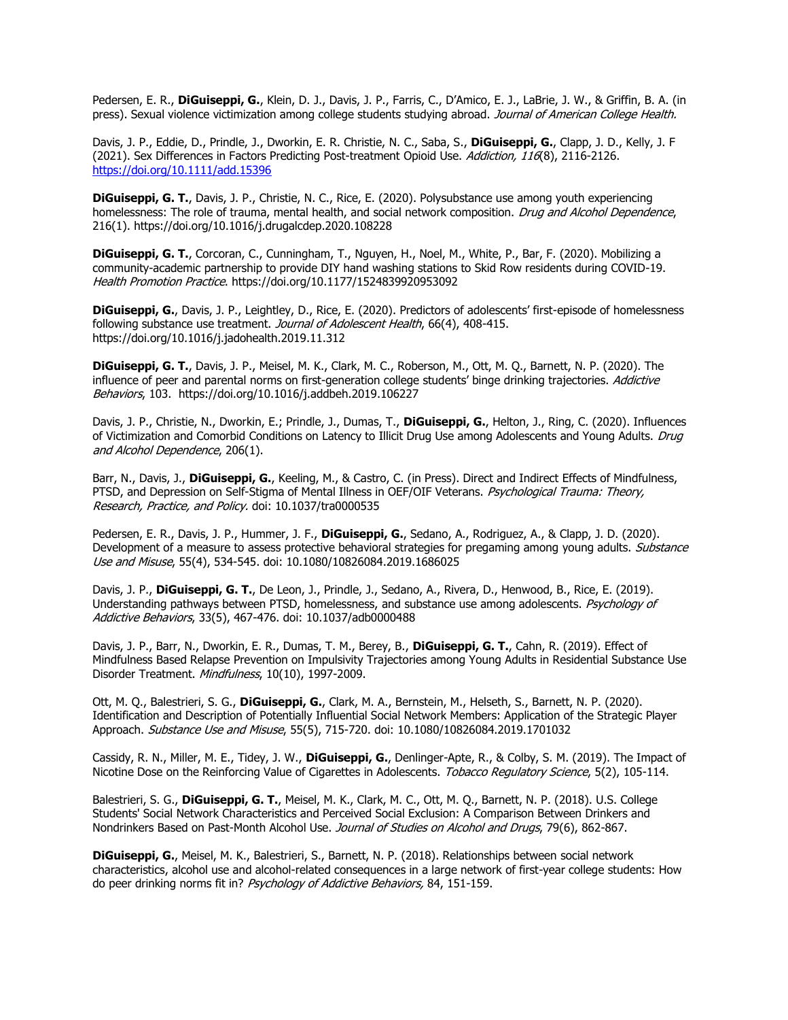Pedersen, E. R., **DiGuiseppi, G.**, Klein, D. J., Davis, J. P., Farris, C., D'Amico, E. J., LaBrie, J. W., & Griffin, B. A. (in press). Sexual violence victimization among college students studying abroad. Journal of American College Health.

Davis, J. P., Eddie, D., Prindle, J., Dworkin, E. R. Christie, N. C., Saba, S., **DiGuiseppi, G.**, Clapp, J. D., Kelly, J. F (2021). Sex Differences in Factors Predicting Post-treatment Opioid Use. Addiction, 116(8), 2116-2126. <https://doi.org/10.1111/add.15396>

**DiGuiseppi, G. T.**, Davis, J. P., Christie, N. C., Rice, E. (2020). Polysubstance use among youth experiencing homelessness: The role of trauma, mental health, and social network composition. Drug and Alcohol Dependence, 216(1). https://doi.org/10.1016/j.drugalcdep.2020.108228

**DiGuiseppi, G. T.**, Corcoran, C., Cunningham, T., Nguyen, H., Noel, M., White, P., Bar, F. (2020). Mobilizing a community-academic partnership to provide DIY hand washing stations to Skid Row residents during COVID-19. Health Promotion Practice. https://doi.org/10.1177/1524839920953092

**DiGuiseppi, G.**, Davis, J. P., Leightley, D., Rice, E. (2020). Predictors of adolescents' first-episode of homelessness following substance use treatment. Journal of Adolescent Health, 66(4), 408-415. https://doi.org/10.1016/j.jadohealth.2019.11.312

**DiGuiseppi, G. T.**, Davis, J. P., Meisel, M. K., Clark, M. C., Roberson, M., Ott, M. Q., Barnett, N. P. (2020). The influence of peer and parental norms on first-generation college students' binge drinking trajectories. Addictive Behaviors, 103. https://doi.org/10.1016/j.addbeh.2019.106227

Davis, J. P., Christie, N., Dworkin, E.; Prindle, J., Dumas, T., **DiGuiseppi, G.**, Helton, J., Ring, C. (2020). Influences of Victimization and Comorbid Conditions on Latency to Illicit Drug Use among Adolescents and Young Adults. Drug and Alcohol Dependence, 206(1).

Barr, N., Davis, J., **DiGuiseppi, G.**, Keeling, M., & Castro, C. (in Press). Direct and Indirect Effects of Mindfulness, PTSD, and Depression on Self-Stigma of Mental Illness in OEF/OIF Veterans. Psychological Trauma: Theory, Research, Practice, and Policy. doi: 10.1037/tra0000535

Pedersen, E. R., Davis, J. P., Hummer, J. F., **DiGuiseppi, G.**, Sedano, A., Rodriguez, A., & Clapp, J. D. (2020). Development of a measure to assess protective behavioral strategies for pregaming among young adults. Substance Use and Misuse, 55(4), 534-545. doi: 10.1080/10826084.2019.1686025

Davis, J. P., **DiGuiseppi, G. T.**, De Leon, J., Prindle, J., Sedano, A., Rivera, D., Henwood, B., Rice, E. (2019). Understanding pathways between PTSD, homelessness, and substance use among adolescents. Psychology of Addictive Behaviors, 33(5), 467-476. doi: 10.1037/adb0000488

Davis, J. P., Barr, N., Dworkin, E. R., Dumas, T. M., Berey, B., **DiGuiseppi, G. T.**, Cahn, R. (2019). Effect of Mindfulness Based Relapse Prevention on Impulsivity Trajectories among Young Adults in Residential Substance Use Disorder Treatment. Mindfulness, 10(10), 1997-2009.

Ott, M. Q., Balestrieri, S. G., **DiGuiseppi, G.**, Clark, M. A., Bernstein, M., Helseth, S., Barnett, N. P. (2020). Identification and Description of Potentially Influential Social Network Members: Application of the Strategic Player Approach. Substance Use and Misuse, 55(5), 715-720. doi: 10.1080/10826084.2019.1701032

Cassidy, R. N., Miller, M. E., Tidey, J. W., **DiGuiseppi, G.**, Denlinger-Apte, R., & Colby, S. M. (2019). The Impact of Nicotine Dose on the Reinforcing Value of Cigarettes in Adolescents. Tobacco Regulatory Science, 5(2), 105-114.

Balestrieri, S. G., **DiGuiseppi, G. T.**, Meisel, M. K., Clark, M. C., Ott, M. Q., Barnett, N. P. (2018). U.S. College Students' Social Network Characteristics and Perceived Social Exclusion: A Comparison Between Drinkers and Nondrinkers Based on Past-Month Alcohol Use. Journal of Studies on Alcohol and Drugs, 79(6), 862-867.

**DiGuiseppi, G.**, Meisel, M. K., Balestrieri, S., Barnett, N. P. (2018). Relationships between social network characteristics, alcohol use and alcohol-related consequences in a large network of first-year college students: How do peer drinking norms fit in? Psychology of Addictive Behaviors, 84, 151-159.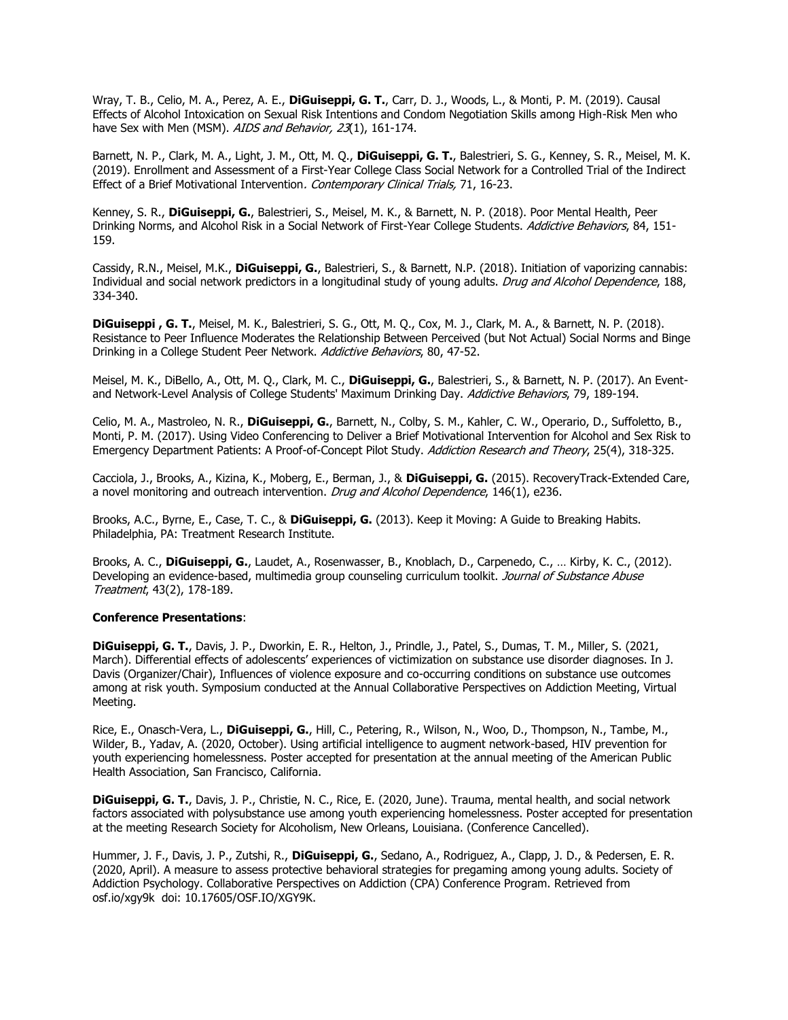Wray, T. B., Celio, M. A., Perez, A. E., **DiGuiseppi, G. T.**, Carr, D. J., Woods, L., & Monti, P. M. (2019). Causal Effects of Alcohol Intoxication on Sexual Risk Intentions and Condom Negotiation Skills among High-Risk Men who have Sex with Men (MSM). AIDS and Behavior, 23(1), 161-174.

Barnett, N. P., Clark, M. A., Light, J. M., Ott, M. Q., **DiGuiseppi, G. T.**, Balestrieri, S. G., Kenney, S. R., Meisel, M. K. (2019). Enrollment and Assessment of a First-Year College Class Social Network for a Controlled Trial of the Indirect Effect of a Brief Motivational Intervention. Contemporary Clinical Trials, 71, 16-23.

Kenney, S. R., **DiGuiseppi, G.**, Balestrieri, S., Meisel, M. K., & Barnett, N. P. (2018). Poor Mental Health, Peer Drinking Norms, and Alcohol Risk in a Social Network of First-Year College Students. Addictive Behaviors, 84, 151-159.

Cassidy, R.N., Meisel, M.K., **DiGuiseppi, G.**, Balestrieri, S., & Barnett, N.P. (2018). Initiation of vaporizing cannabis: Individual and social network predictors in a longitudinal study of young adults. Drug and Alcohol Dependence, 188, 334-340.

**DiGuiseppi , G. T.**, Meisel, M. K., Balestrieri, S. G., Ott, M. Q., Cox, M. J., Clark, M. A., & Barnett, N. P. (2018). Resistance to Peer Influence Moderates the Relationship Between Perceived (but Not Actual) Social Norms and Binge Drinking in a College Student Peer Network. Addictive Behaviors, 80, 47-52.

Meisel, M. K., DiBello, A., Ott, M. Q., Clark, M. C., **DiGuiseppi, G.**, Balestrieri, S., & Barnett, N. P. (2017). An Eventand Network-Level Analysis of College Students' Maximum Drinking Day. Addictive Behaviors, 79, 189-194.

Celio, M. A., Mastroleo, N. R., **DiGuiseppi, G.**, Barnett, N., Colby, S. M., Kahler, C. W., Operario, D., Suffoletto, B., Monti, P. M. (2017). Using Video Conferencing to Deliver a Brief Motivational Intervention for Alcohol and Sex Risk to Emergency Department Patients: A Proof-of-Concept Pilot Study. Addiction Research and Theory, 25(4), 318-325.

Cacciola, J., Brooks, A., Kizina, K., Moberg, E., Berman, J., & **DiGuiseppi, G.** (2015). RecoveryTrack-Extended Care, a novel monitoring and outreach intervention. Drug and Alcohol Dependence, 146(1), e236.

Brooks, A.C., Byrne, E., Case, T. C., & **DiGuiseppi, G.** (2013). Keep it Moving: A Guide to Breaking Habits. Philadelphia, PA: Treatment Research Institute.

Brooks, A. C., **DiGuiseppi, G.**, Laudet, A., Rosenwasser, B., Knoblach, D., Carpenedo, C., … Kirby, K. C., (2012). Developing an evidence-based, multimedia group counseling curriculum toolkit. Journal of Substance Abuse Treatment, 43(2), 178-189.

#### **Conference Presentations**:

**DiGuiseppi, G. T.**, Davis, J. P., Dworkin, E. R., Helton, J., Prindle, J., Patel, S., Dumas, T. M., Miller, S. (2021, March). Differential effects of adolescents' experiences of victimization on substance use disorder diagnoses. In J. Davis (Organizer/Chair), Influences of violence exposure and co-occurring conditions on substance use outcomes among at risk youth. Symposium conducted at the Annual Collaborative Perspectives on Addiction Meeting, Virtual Meeting.

Rice, E., Onasch-Vera, L., **DiGuiseppi, G.**, Hill, C., Petering, R., Wilson, N., Woo, D., Thompson, N., Tambe, M., Wilder, B., Yadav, A. (2020, October). Using artificial intelligence to augment network-based, HIV prevention for youth experiencing homelessness. Poster accepted for presentation at the annual meeting of the American Public Health Association, San Francisco, California.

**DiGuiseppi, G. T.**, Davis, J. P., Christie, N. C., Rice, E. (2020, June). Trauma, mental health, and social network factors associated with polysubstance use among youth experiencing homelessness. Poster accepted for presentation at the meeting Research Society for Alcoholism, New Orleans, Louisiana. (Conference Cancelled).

Hummer, J. F., Davis, J. P., Zutshi, R., **DiGuiseppi, G.**, Sedano, A., Rodriguez, A., Clapp, J. D., & Pedersen, E. R. (2020, April). A measure to assess protective behavioral strategies for pregaming among young adults. Society of Addiction Psychology. Collaborative Perspectives on Addiction (CPA) Conference Program. Retrieved from osf.io/xgy9k doi: 10.17605/OSF.IO/XGY9K.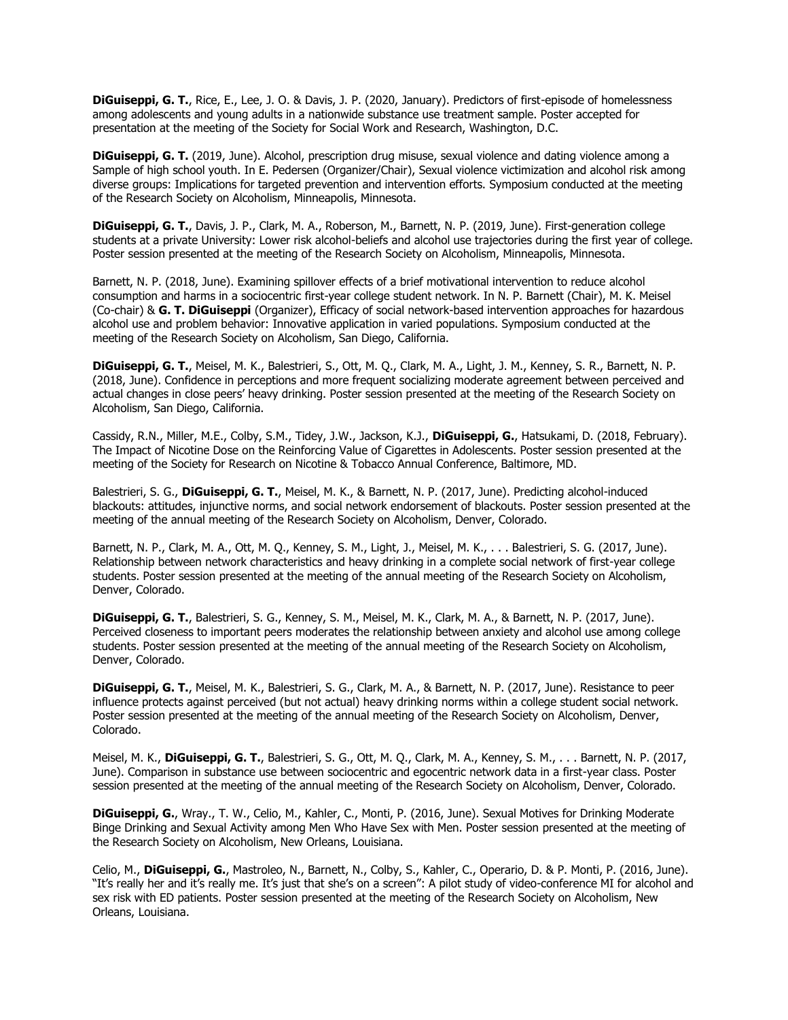**DiGuiseppi, G. T.**, Rice, E., Lee, J. O. & Davis, J. P. (2020, January). Predictors of first-episode of homelessness among adolescents and young adults in a nationwide substance use treatment sample. Poster accepted for presentation at the meeting of the Society for Social Work and Research, Washington, D.C.

**DiGuiseppi, G. T.** (2019, June). Alcohol, prescription drug misuse, sexual violence and dating violence among a Sample of high school youth. In E. Pedersen (Organizer/Chair), Sexual violence victimization and alcohol risk among diverse groups: Implications for targeted prevention and intervention efforts. Symposium conducted at the meeting of the Research Society on Alcoholism, Minneapolis, Minnesota.

**DiGuiseppi, G. T.**, Davis, J. P., Clark, M. A., Roberson, M., Barnett, N. P. (2019, June). First-generation college students at a private University: Lower risk alcohol-beliefs and alcohol use trajectories during the first year of college. Poster session presented at the meeting of the Research Society on Alcoholism, Minneapolis, Minnesota.

Barnett, N. P. (2018, June). Examining spillover effects of a brief motivational intervention to reduce alcohol consumption and harms in a sociocentric first-year college student network. In N. P. Barnett (Chair), M. K. Meisel (Co-chair) & **G. T. DiGuiseppi** (Organizer), Efficacy of social network-based intervention approaches for hazardous alcohol use and problem behavior: Innovative application in varied populations. Symposium conducted at the meeting of the Research Society on Alcoholism, San Diego, California.

**DiGuiseppi, G. T.**, Meisel, M. K., Balestrieri, S., Ott, M. Q., Clark, M. A., Light, J. M., Kenney, S. R., Barnett, N. P. (2018, June). Confidence in perceptions and more frequent socializing moderate agreement between perceived and actual changes in close peers' heavy drinking. Poster session presented at the meeting of the Research Society on Alcoholism, San Diego, California.

Cassidy, R.N., Miller, M.E., Colby, S.M., Tidey, J.W., Jackson, K.J., **DiGuiseppi, G.**, Hatsukami, D. (2018, February). The Impact of Nicotine Dose on the Reinforcing Value of Cigarettes in Adolescents. Poster session presented at the meeting of the Society for Research on Nicotine & Tobacco Annual Conference, Baltimore, MD.

Balestrieri, S. G., **DiGuiseppi, G. T.**, Meisel, M. K., & Barnett, N. P. (2017, June). Predicting alcohol-induced blackouts: attitudes, injunctive norms, and social network endorsement of blackouts. Poster session presented at the meeting of the annual meeting of the Research Society on Alcoholism, Denver, Colorado.

Barnett, N. P., Clark, M. A., Ott, M. Q., Kenney, S. M., Light, J., Meisel, M. K., . . . Balestrieri, S. G. (2017, June). Relationship between network characteristics and heavy drinking in a complete social network of first-year college students. Poster session presented at the meeting of the annual meeting of the Research Society on Alcoholism, Denver, Colorado.

**DiGuiseppi, G. T.**, Balestrieri, S. G., Kenney, S. M., Meisel, M. K., Clark, M. A., & Barnett, N. P. (2017, June). Perceived closeness to important peers moderates the relationship between anxiety and alcohol use among college students. Poster session presented at the meeting of the annual meeting of the Research Society on Alcoholism, Denver, Colorado.

**DiGuiseppi, G. T.**, Meisel, M. K., Balestrieri, S. G., Clark, M. A., & Barnett, N. P. (2017, June). Resistance to peer influence protects against perceived (but not actual) heavy drinking norms within a college student social network. Poster session presented at the meeting of the annual meeting of the Research Society on Alcoholism, Denver, Colorado.

Meisel, M. K., **DiGuiseppi, G. T.**, Balestrieri, S. G., Ott, M. Q., Clark, M. A., Kenney, S. M., . . . Barnett, N. P. (2017, June). Comparison in substance use between sociocentric and egocentric network data in a first-year class. Poster session presented at the meeting of the annual meeting of the Research Society on Alcoholism, Denver, Colorado.

**DiGuiseppi, G.**, Wray., T. W., Celio, M., Kahler, C., Monti, P. (2016, June). Sexual Motives for Drinking Moderate Binge Drinking and Sexual Activity among Men Who Have Sex with Men. Poster session presented at the meeting of the Research Society on Alcoholism, New Orleans, Louisiana.

Celio, M., **DiGuiseppi, G.**, Mastroleo, N., Barnett, N., Colby, S., Kahler, C., Operario, D. & P. Monti, P. (2016, June). "It's really her and it's really me. It's just that she's on a screen": A pilot study of video-conference MI for alcohol and sex risk with ED patients. Poster session presented at the meeting of the Research Society on Alcoholism, New Orleans, Louisiana.